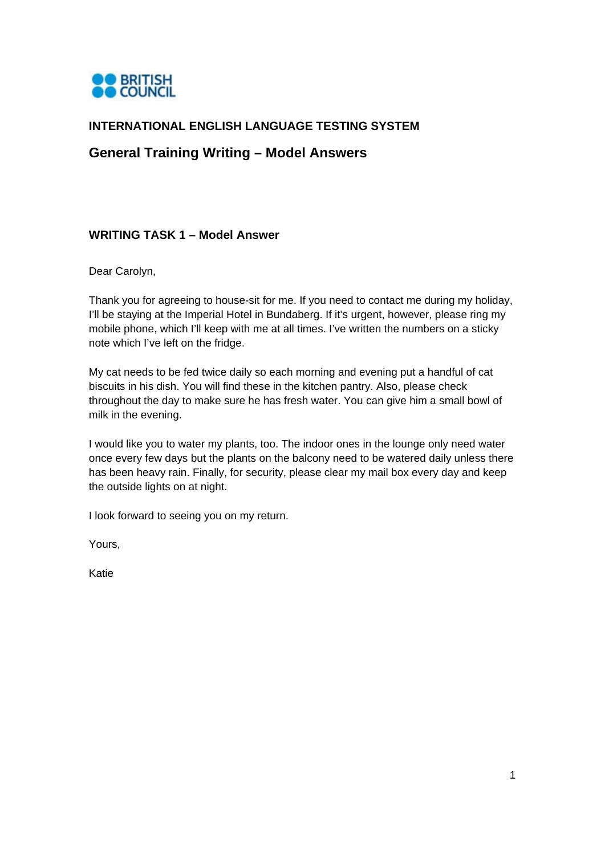

## **INTERNATIONAL ENGLISH LANGUAGE TESTING SYSTEM**

## **General Training Writing – Model Answers**

## **WRITING TASK 1 – Model Answer**

Dear Carolyn,

Thank you for agreeing to house-sit for me. If you need to contact me during my holiday, I'll be staying at the Imperial Hotel in Bundaberg. If it's urgent, however, please ring my mobile phone, which I'll keep with me at all times. I've written the numbers on a sticky note which I've left on the fridge.

My cat needs to be fed twice daily so each morning and evening put a handful of cat biscuits in his dish. You will find these in the kitchen pantry. Also, please check throughout the day to make sure he has fresh water. You can give him a small bowl of milk in the evening.

I would like you to water my plants, too. The indoor ones in the lounge only need water once every few days but the plants on the balcony need to be watered daily unless there has been heavy rain. Finally, for security, please clear my mail box every day and keep the outside lights on at night.

I look forward to seeing you on my return.

Yours,

Katie